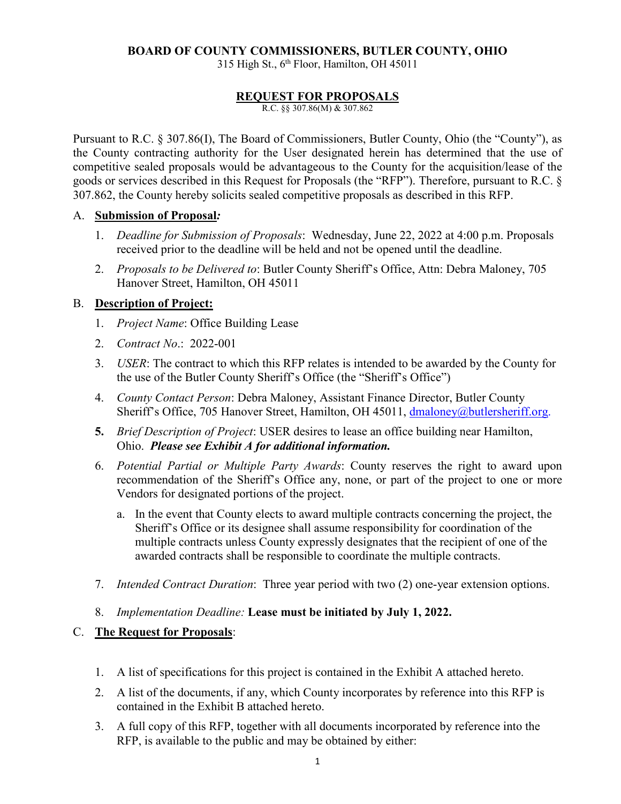#### **BOARD OF COUNTY COMMISSIONERS, BUTLER COUNTY, OHIO**

315 High St., 6<sup>th</sup> Floor, Hamilton, OH 45011

#### **REQUEST FOR PROPOSALS**

R.C. §§ 307.86(M) & 307.862

Pursuant to R.C. § 307.86(I), The Board of Commissioners, Butler County, Ohio (the "County"), as the County contracting authority for the User designated herein has determined that the use of competitive sealed proposals would be advantageous to the County for the acquisition/lease of the goods or services described in this Request for Proposals (the "RFP"). Therefore, pursuant to R.C. § 307.862, the County hereby solicits sealed competitive proposals as described in this RFP.

#### A. **Submission of Proposal***:*

- 1. *Deadline for Submission of Proposals*: Wednesday, June 22, 2022 at 4:00 p.m. Proposals received prior to the deadline will be held and not be opened until the deadline.
- 2. *Proposals to be Delivered to*: Butler County Sheriff's Office, Attn: Debra Maloney, 705 Hanover Street, Hamilton, OH 45011

#### B. **Description of Project:**

- 1. *Project Name*: Office Building Lease
- 2. *Contract No*.: 2022-001
- 3. *USER*: The contract to which this RFP relates is intended to be awarded by the County for the use of the Butler County Sheriff's Office (the "Sheriff's Office")
- 4. *County Contact Person*: Debra Maloney, Assistant Finance Director, Butler County Sheriff's Office, 705 Hanover Street, Hamilton, OH 45011, dmaloney@butlersheriff.org.
- **5.** *Brief Description of Project*: USER desires to lease an office building near Hamilton, Ohio. *Please see Exhibit A for additional information.*
- 6. *Potential Partial or Multiple Party Awards*: County reserves the right to award upon recommendation of the Sheriff's Office any, none, or part of the project to one or more Vendors for designated portions of the project.
	- a. In the event that County elects to award multiple contracts concerning the project, the Sheriff's Office or its designee shall assume responsibility for coordination of the multiple contracts unless County expressly designates that the recipient of one of the awarded contracts shall be responsible to coordinate the multiple contracts.
- 7. *Intended Contract Duration*: Three year period with two (2) one-year extension options.
- 8. *Implementation Deadline:* **Lease must be initiated by July 1, 2022.**

## C. **The Request for Proposals**:

- 1. A list of specifications for this project is contained in the Exhibit A attached hereto.
- 2. A list of the documents, if any, which County incorporates by reference into this RFP is contained in the Exhibit B attached hereto.
- 3. A full copy of this RFP, together with all documents incorporated by reference into the RFP, is available to the public and may be obtained by either: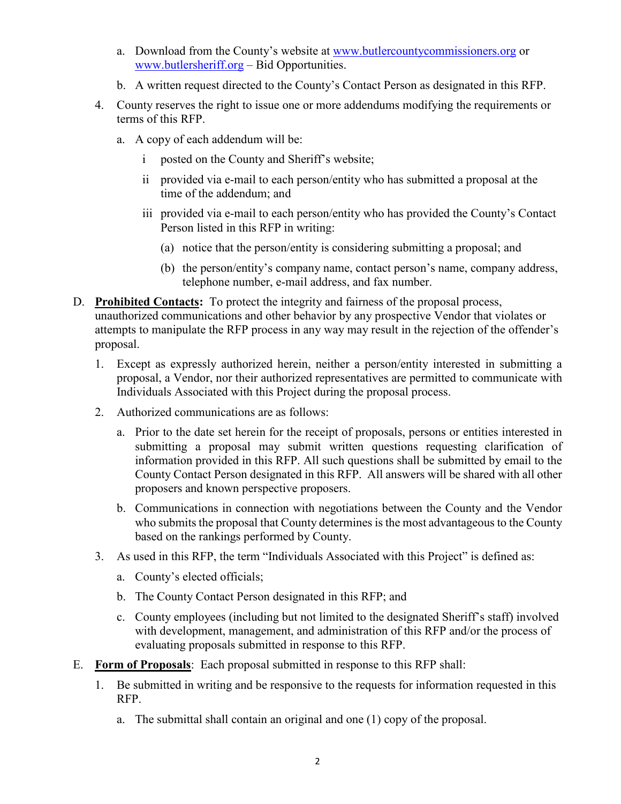- a. Download from the County's website at www.butlercountycommissioners.org or www.butlersheriff.org – Bid Opportunities.
- b. A written request directed to the County's Contact Person as designated in this RFP.
- 4. County reserves the right to issue one or more addendums modifying the requirements or terms of this RFP.
	- a. A copy of each addendum will be:
		- i posted on the County and Sheriff's website;
		- ii provided via e-mail to each person/entity who has submitted a proposal at the time of the addendum; and
		- iii provided via e-mail to each person/entity who has provided the County's Contact Person listed in this RFP in writing:
			- (a) notice that the person/entity is considering submitting a proposal; and
			- (b) the person/entity's company name, contact person's name, company address, telephone number, e-mail address, and fax number.
- D. **Prohibited Contacts:** To protect the integrity and fairness of the proposal process, unauthorized communications and other behavior by any prospective Vendor that violates or attempts to manipulate the RFP process in any way may result in the rejection of the offender's proposal.
	- 1. Except as expressly authorized herein, neither a person/entity interested in submitting a proposal, a Vendor, nor their authorized representatives are permitted to communicate with Individuals Associated with this Project during the proposal process.
	- 2. Authorized communications are as follows:
		- a. Prior to the date set herein for the receipt of proposals, persons or entities interested in submitting a proposal may submit written questions requesting clarification of information provided in this RFP. All such questions shall be submitted by email to the County Contact Person designated in this RFP. All answers will be shared with all other proposers and known perspective proposers.
		- b. Communications in connection with negotiations between the County and the Vendor who submits the proposal that County determines is the most advantageous to the County based on the rankings performed by County.
	- 3. As used in this RFP, the term "Individuals Associated with this Project" is defined as:
		- a. County's elected officials;
		- b. The County Contact Person designated in this RFP; and
		- c. County employees (including but not limited to the designated Sheriff's staff) involved with development, management, and administration of this RFP and/or the process of evaluating proposals submitted in response to this RFP.
- E. **Form of Proposals**: Each proposal submitted in response to this RFP shall:
	- 1. Be submitted in writing and be responsive to the requests for information requested in this RFP.
		- a. The submittal shall contain an original and one (1) copy of the proposal.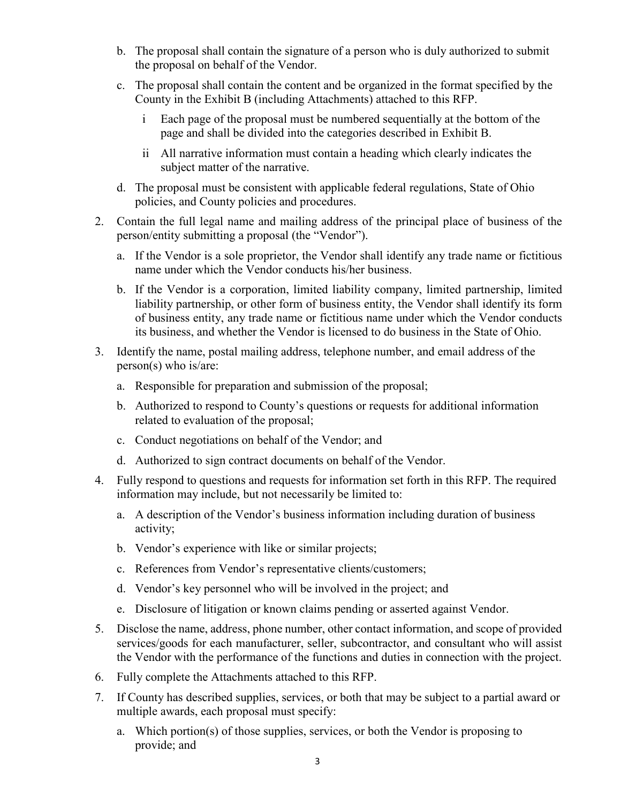- b. The proposal shall contain the signature of a person who is duly authorized to submit the proposal on behalf of the Vendor.
- c. The proposal shall contain the content and be organized in the format specified by the County in the Exhibit B (including Attachments) attached to this RFP.
	- i Each page of the proposal must be numbered sequentially at the bottom of the page and shall be divided into the categories described in Exhibit B.
	- ii All narrative information must contain a heading which clearly indicates the subject matter of the narrative.
- d. The proposal must be consistent with applicable federal regulations, State of Ohio policies, and County policies and procedures.
- 2. Contain the full legal name and mailing address of the principal place of business of the person/entity submitting a proposal (the "Vendor").
	- a. If the Vendor is a sole proprietor, the Vendor shall identify any trade name or fictitious name under which the Vendor conducts his/her business.
	- b. If the Vendor is a corporation, limited liability company, limited partnership, limited liability partnership, or other form of business entity, the Vendor shall identify its form of business entity, any trade name or fictitious name under which the Vendor conducts its business, and whether the Vendor is licensed to do business in the State of Ohio.
- 3. Identify the name, postal mailing address, telephone number, and email address of the person(s) who is/are:
	- a. Responsible for preparation and submission of the proposal;
	- b. Authorized to respond to County's questions or requests for additional information related to evaluation of the proposal;
	- c. Conduct negotiations on behalf of the Vendor; and
	- d. Authorized to sign contract documents on behalf of the Vendor.
- 4. Fully respond to questions and requests for information set forth in this RFP. The required information may include, but not necessarily be limited to:
	- a. A description of the Vendor's business information including duration of business activity;
	- b. Vendor's experience with like or similar projects;
	- c. References from Vendor's representative clients/customers;
	- d. Vendor's key personnel who will be involved in the project; and
	- e. Disclosure of litigation or known claims pending or asserted against Vendor.
- 5. Disclose the name, address, phone number, other contact information, and scope of provided services/goods for each manufacturer, seller, subcontractor, and consultant who will assist the Vendor with the performance of the functions and duties in connection with the project.
- 6. Fully complete the Attachments attached to this RFP.
- 7. If County has described supplies, services, or both that may be subject to a partial award or multiple awards, each proposal must specify:
	- a. Which portion(s) of those supplies, services, or both the Vendor is proposing to provide; and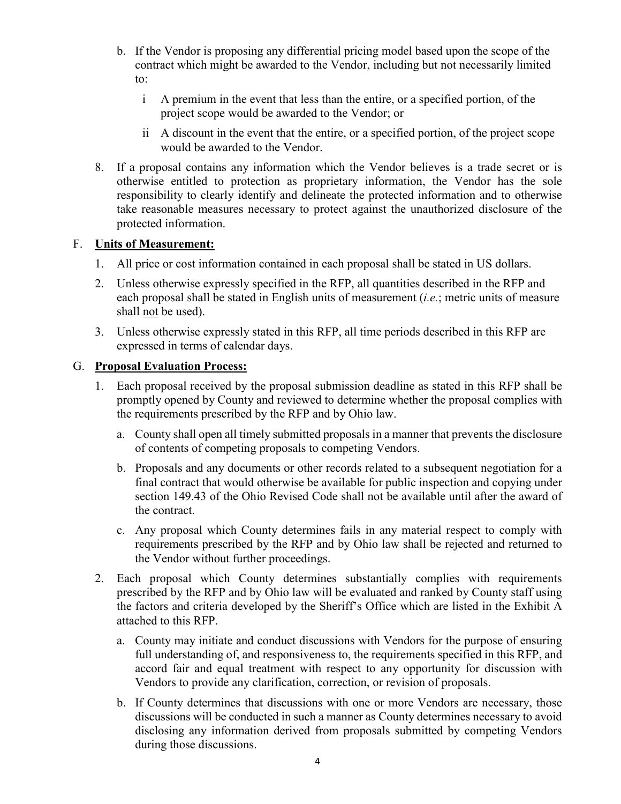- b. If the Vendor is proposing any differential pricing model based upon the scope of the contract which might be awarded to the Vendor, including but not necessarily limited to:
	- i A premium in the event that less than the entire, or a specified portion, of the project scope would be awarded to the Vendor; or
	- ii A discount in the event that the entire, or a specified portion, of the project scope would be awarded to the Vendor.
- 8. If a proposal contains any information which the Vendor believes is a trade secret or is otherwise entitled to protection as proprietary information, the Vendor has the sole responsibility to clearly identify and delineate the protected information and to otherwise take reasonable measures necessary to protect against the unauthorized disclosure of the protected information.

#### F. **Units of Measurement:**

- 1. All price or cost information contained in each proposal shall be stated in US dollars.
- 2. Unless otherwise expressly specified in the RFP, all quantities described in the RFP and each proposal shall be stated in English units of measurement (*i.e.*; metric units of measure shall not be used).
- 3. Unless otherwise expressly stated in this RFP, all time periods described in this RFP are expressed in terms of calendar days.

#### G. **Proposal Evaluation Process:**

- 1. Each proposal received by the proposal submission deadline as stated in this RFP shall be promptly opened by County and reviewed to determine whether the proposal complies with the requirements prescribed by the RFP and by Ohio law.
	- a. County shall open all timely submitted proposals in a manner that prevents the disclosure of contents of competing proposals to competing Vendors.
	- b. Proposals and any documents or other records related to a subsequent negotiation for a final contract that would otherwise be available for public inspection and copying under section 149.43 of the Ohio Revised Code shall not be available until after the award of the contract.
	- c. Any proposal which County determines fails in any material respect to comply with requirements prescribed by the RFP and by Ohio law shall be rejected and returned to the Vendor without further proceedings.
- 2. Each proposal which County determines substantially complies with requirements prescribed by the RFP and by Ohio law will be evaluated and ranked by County staff using the factors and criteria developed by the Sheriff's Office which are listed in the Exhibit A attached to this RFP.
	- a. County may initiate and conduct discussions with Vendors for the purpose of ensuring full understanding of, and responsiveness to, the requirements specified in this RFP, and accord fair and equal treatment with respect to any opportunity for discussion with Vendors to provide any clarification, correction, or revision of proposals.
	- b. If County determines that discussions with one or more Vendors are necessary, those discussions will be conducted in such a manner as County determines necessary to avoid disclosing any information derived from proposals submitted by competing Vendors during those discussions.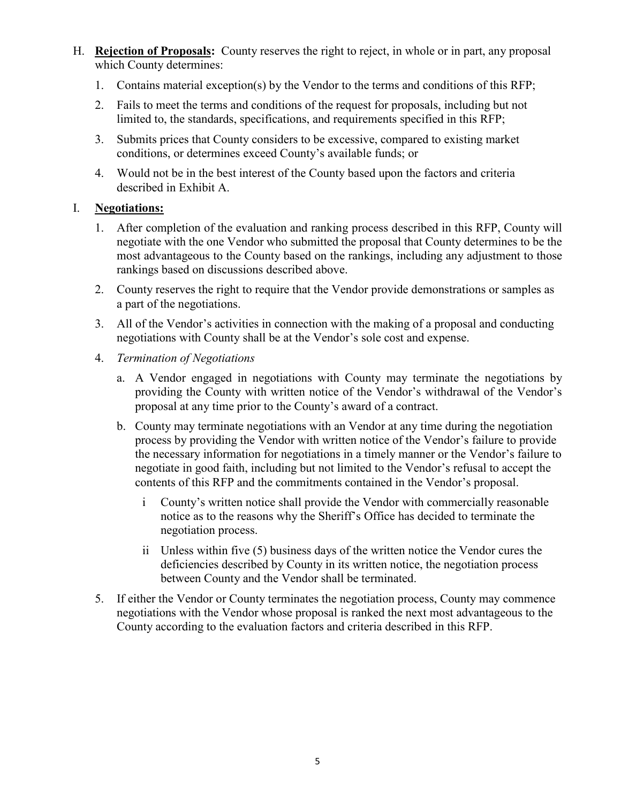- H. **Rejection of Proposals:** County reserves the right to reject, in whole or in part, any proposal which County determines:
	- 1. Contains material exception(s) by the Vendor to the terms and conditions of this RFP;
	- 2. Fails to meet the terms and conditions of the request for proposals, including but not limited to, the standards, specifications, and requirements specified in this RFP;
	- 3. Submits prices that County considers to be excessive, compared to existing market conditions, or determines exceed County's available funds; or
	- 4. Would not be in the best interest of the County based upon the factors and criteria described in Exhibit A.

#### I. **Negotiations:**

- 1. After completion of the evaluation and ranking process described in this RFP, County will negotiate with the one Vendor who submitted the proposal that County determines to be the most advantageous to the County based on the rankings, including any adjustment to those rankings based on discussions described above.
- 2. County reserves the right to require that the Vendor provide demonstrations or samples as a part of the negotiations.
- 3. All of the Vendor's activities in connection with the making of a proposal and conducting negotiations with County shall be at the Vendor's sole cost and expense.
- 4. *Termination of Negotiations*
	- a. A Vendor engaged in negotiations with County may terminate the negotiations by providing the County with written notice of the Vendor's withdrawal of the Vendor's proposal at any time prior to the County's award of a contract.
	- b. County may terminate negotiations with an Vendor at any time during the negotiation process by providing the Vendor with written notice of the Vendor's failure to provide the necessary information for negotiations in a timely manner or the Vendor's failure to negotiate in good faith, including but not limited to the Vendor's refusal to accept the contents of this RFP and the commitments contained in the Vendor's proposal.
		- i County's written notice shall provide the Vendor with commercially reasonable notice as to the reasons why the Sheriff's Office has decided to terminate the negotiation process.
		- ii Unless within five (5) business days of the written notice the Vendor cures the deficiencies described by County in its written notice, the negotiation process between County and the Vendor shall be terminated.
- 5. If either the Vendor or County terminates the negotiation process, County may commence negotiations with the Vendor whose proposal is ranked the next most advantageous to the County according to the evaluation factors and criteria described in this RFP.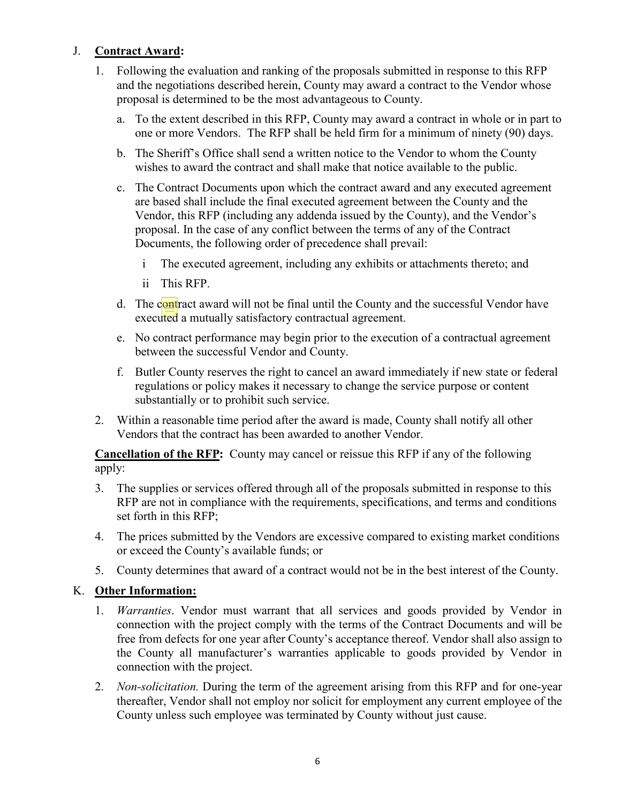### J. **Contract Award:**

- 1. Following the evaluation and ranking of the proposals submitted in response to this RFP and the negotiations described herein, County may award a contract to the Vendor whose proposal is determined to be the most advantageous to County.
	- a. To the extent described in this RFP, County may award a contract in whole or in part to one or more Vendors. The RFP shall be held firm for a minimum of ninety (90) days.
	- b. The Sheriff's Office shall send a written notice to the Vendor to whom the County wishes to award the contract and shall make that notice available to the public.
	- c. The Contract Documents upon which the contract award and any executed agreement are based shall include the final executed agreement between the County and the Vendor, this RFP (including any addenda issued by the County), and the Vendor's proposal. In the case of any conflict between the terms of any of the Contract Documents, the following order of precedence shall prevail:
		- i The executed agreement, including any exhibits or attachments thereto; and
		- ii This RFP.
	- d. The contract award will not be final until the County and the successful Vendor have executed a mutually satisfactory contractual agreement.
	- e. No contract performance may begin prior to the execution of a contractual agreement between the successful Vendor and County.
	- f. Butler County reserves the right to cancel an award immediately if new state or federal regulations or policy makes it necessary to change the service purpose or content substantially or to prohibit such service.
- 2. Within a reasonable time period after the award is made, County shall notify all other Vendors that the contract has been awarded to another Vendor.

**Cancellation of the RFP:** County may cancel or reissue this RFP if any of the following apply:

- 3. The supplies or services offered through all of the proposals submitted in response to this RFP are not in compliance with the requirements, specifications, and terms and conditions set forth in this RFP;
- 4. The prices submitted by the Vendors are excessive compared to existing market conditions or exceed the County's available funds; or
- 5. County determines that award of a contract would not be in the best interest of the County.

#### K. **Other Information:**

- 1. *Warranties*. Vendor must warrant that all services and goods provided by Vendor in connection with the project comply with the terms of the Contract Documents and will be free from defects for one year after County's acceptance thereof. Vendor shall also assign to the County all manufacturer's warranties applicable to goods provided by Vendor in connection with the project.
- 2. *Non-solicitation.* During the term of the agreement arising from this RFP and for one-year thereafter, Vendor shall not employ nor solicit for employment any current employee of the County unless such employee was terminated by County without just cause.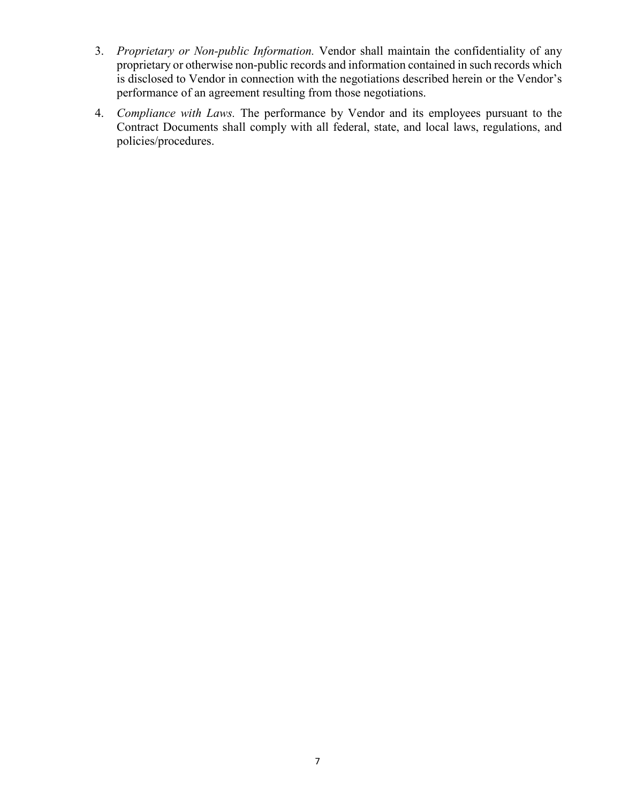- 3. *Proprietary or Non-public Information.* Vendor shall maintain the confidentiality of any proprietary or otherwise non-public records and information contained in such records which is disclosed to Vendor in connection with the negotiations described herein or the Vendor's performance of an agreement resulting from those negotiations.
- 4. *Compliance with Laws.* The performance by Vendor and its employees pursuant to the Contract Documents shall comply with all federal, state, and local laws, regulations, and policies/procedures.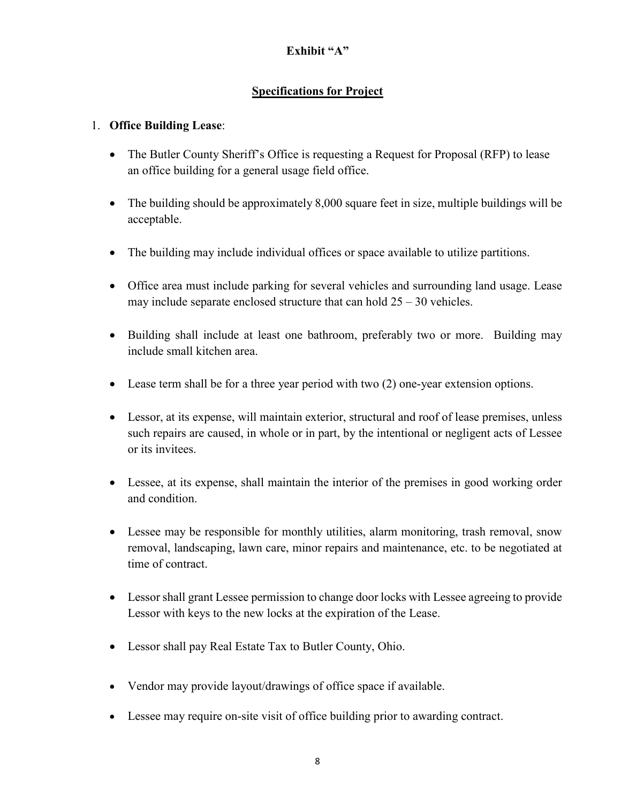## **Exhibit "A"**

## **Specifications for Project**

### 1. **Office Building Lease**:

- The Butler County Sheriff's Office is requesting a Request for Proposal (RFP) to lease an office building for a general usage field office.
- The building should be approximately 8,000 square feet in size, multiple buildings will be acceptable.
- The building may include individual offices or space available to utilize partitions.
- Office area must include parking for several vehicles and surrounding land usage. Lease may include separate enclosed structure that can hold  $25 - 30$  vehicles.
- Building shall include at least one bathroom, preferably two or more. Building may include small kitchen area.
- Lease term shall be for a three year period with two (2) one-year extension options.
- Lessor, at its expense, will maintain exterior, structural and roof of lease premises, unless such repairs are caused, in whole or in part, by the intentional or negligent acts of Lessee or its invitees.
- Lessee, at its expense, shall maintain the interior of the premises in good working order and condition.
- Lessee may be responsible for monthly utilities, alarm monitoring, trash removal, snow removal, landscaping, lawn care, minor repairs and maintenance, etc. to be negotiated at time of contract.
- Lessor shall grant Lessee permission to change door locks with Lessee agreeing to provide Lessor with keys to the new locks at the expiration of the Lease.
- Lessor shall pay Real Estate Tax to Butler County, Ohio.
- Vendor may provide layout/drawings of office space if available.
- Lessee may require on-site visit of office building prior to awarding contract.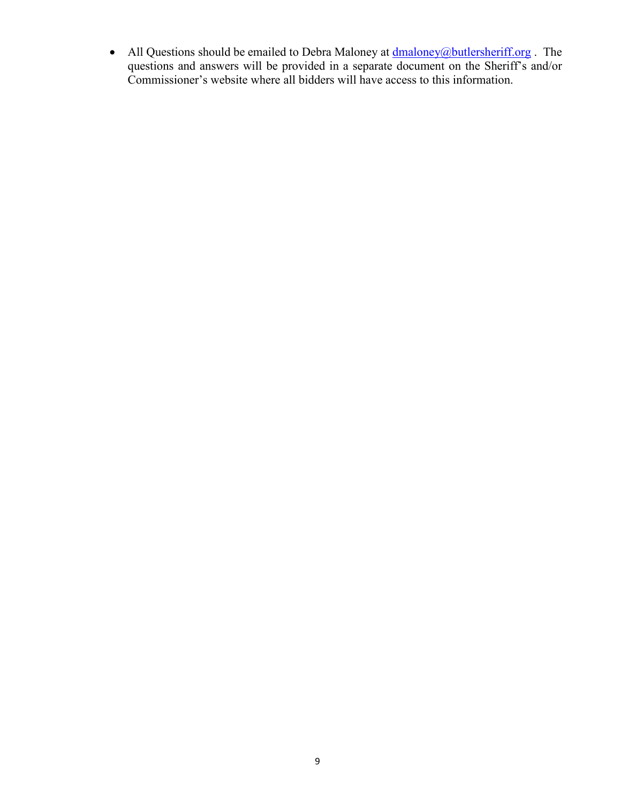• All Questions should be emailed to Debra Maloney at *dmaloney@butlersheriff.org*. The questions and answers will be provided in a separate document on the Sheriff's and/or Commissioner's website where all bidders will have access to this information.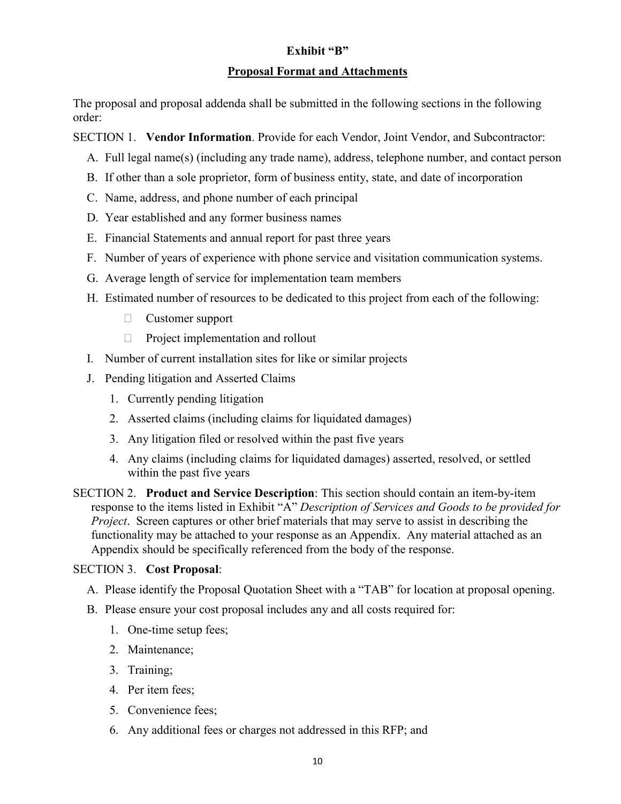#### **Exhibit "B"**

#### **Proposal Format and Attachments**

The proposal and proposal addenda shall be submitted in the following sections in the following order:

SECTION 1. **Vendor Information**. Provide for each Vendor, Joint Vendor, and Subcontractor:

- A. Full legal name(s) (including any trade name), address, telephone number, and contact person
- B. If other than a sole proprietor, form of business entity, state, and date of incorporation
- C. Name, address, and phone number of each principal
- D. Year established and any former business names
- E. Financial Statements and annual report for past three years
- F. Number of years of experience with phone service and visitation communication systems.
- G. Average length of service for implementation team members
- H. Estimated number of resources to be dedicated to this project from each of the following:
	- Customer support
	- $\Box$  Project implementation and rollout
- I. Number of current installation sites for like or similar projects
- J. Pending litigation and Asserted Claims
	- 1. Currently pending litigation
	- 2. Asserted claims (including claims for liquidated damages)
	- 3. Any litigation filed or resolved within the past five years
	- 4. Any claims (including claims for liquidated damages) asserted, resolved, or settled within the past five years

SECTION 2. **Product and Service Description**: This section should contain an item-by-item response to the items listed in Exhibit "A" *Description of Services and Goods to be provided for Project*. Screen captures or other brief materials that may serve to assist in describing the functionality may be attached to your response as an Appendix. Any material attached as an Appendix should be specifically referenced from the body of the response.

## SECTION 3. **Cost Proposal**:

A. Please identify the Proposal Quotation Sheet with a "TAB" for location at proposal opening.

- B. Please ensure your cost proposal includes any and all costs required for:
	- 1. One-time setup fees;
	- 2. Maintenance;
	- 3. Training;
	- 4. Per item fees;
	- 5. Convenience fees;
	- 6. Any additional fees or charges not addressed in this RFP; and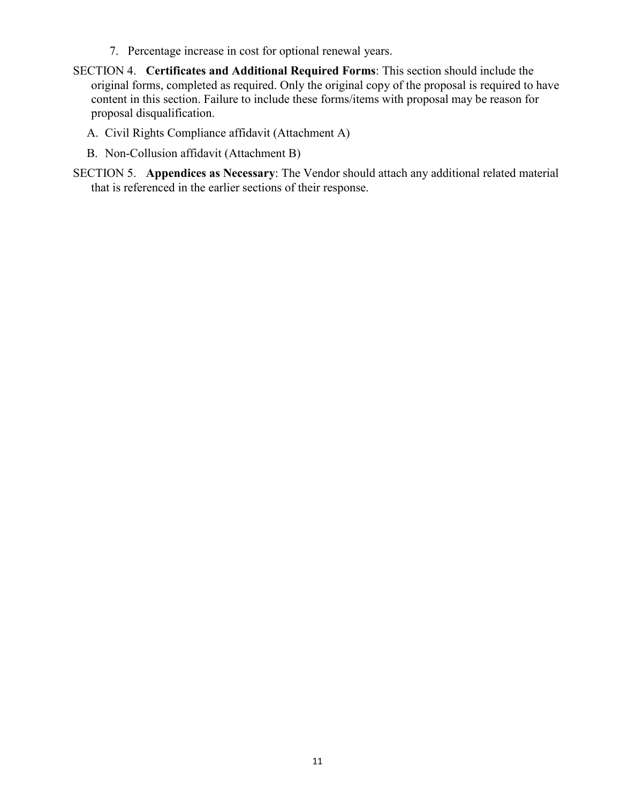- 7. Percentage increase in cost for optional renewal years.
- SECTION 4. **Certificates and Additional Required Forms**: This section should include the original forms, completed as required. Only the original copy of the proposal is required to have content in this section. Failure to include these forms/items with proposal may be reason for proposal disqualification.
	- A. Civil Rights Compliance affidavit (Attachment A)
	- B. Non-Collusion affidavit (Attachment B)
- SECTION 5. **Appendices as Necessary**: The Vendor should attach any additional related material that is referenced in the earlier sections of their response.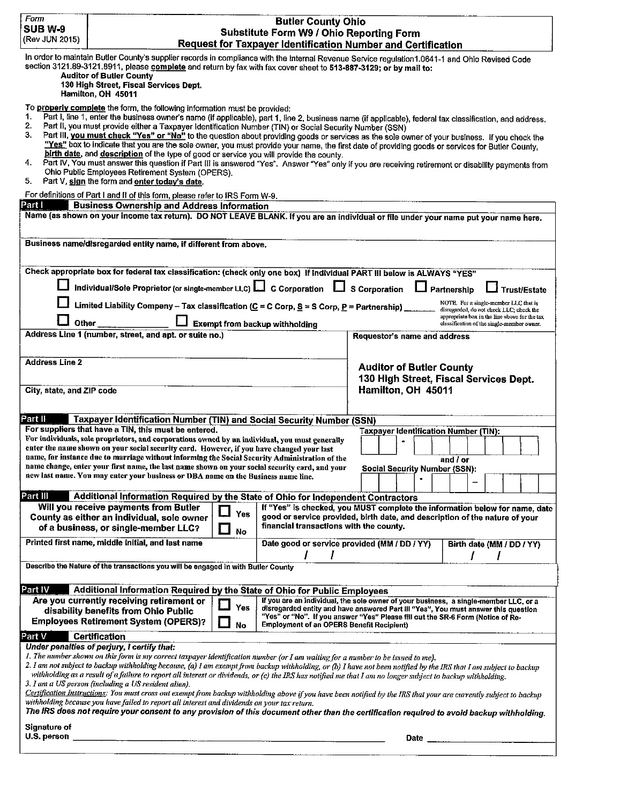| <b>SUB W-9</b><br>(Rev JUN 2015)                                                                                                                                                                                                                                                                                                                                       | <b>Butler County Ohio</b><br>Substitute Form W9 / Ohio Reporting Form<br>Request for Taxpayer Identification Number and Certification                                                                                                                                                                                                                                                                                                                                                                                                                                                                                                                                                                                                                                                                                                                                                                                                                                                                             |                     |                                                  |                                                                                                 |                                                                                                                                                                                                                        |
|------------------------------------------------------------------------------------------------------------------------------------------------------------------------------------------------------------------------------------------------------------------------------------------------------------------------------------------------------------------------|-------------------------------------------------------------------------------------------------------------------------------------------------------------------------------------------------------------------------------------------------------------------------------------------------------------------------------------------------------------------------------------------------------------------------------------------------------------------------------------------------------------------------------------------------------------------------------------------------------------------------------------------------------------------------------------------------------------------------------------------------------------------------------------------------------------------------------------------------------------------------------------------------------------------------------------------------------------------------------------------------------------------|---------------------|--------------------------------------------------|-------------------------------------------------------------------------------------------------|------------------------------------------------------------------------------------------------------------------------------------------------------------------------------------------------------------------------|
| In order to maintain Butler County's supplier records in compliance with the Internal Revenue Service regulation1.0641-1 and Ohio Revised Code<br>section 3121.89-3121.8911, please complete and return by fax with fax cover sheet to 513-887-3129; or by mail to:<br><b>Auditor of Butler County</b><br>130 High Street, Fiscal Services Dept.<br>Hamilton, OH 45011 |                                                                                                                                                                                                                                                                                                                                                                                                                                                                                                                                                                                                                                                                                                                                                                                                                                                                                                                                                                                                                   |                     |                                                  |                                                                                                 |                                                                                                                                                                                                                        |
| 1.<br>2.<br>3.<br>4.<br>5.                                                                                                                                                                                                                                                                                                                                             | To properly complete the form, the following information must be provided:<br>Part I, line 1, enter the business owner's name (if applicable), part 1, line 2, business name (if applicable), federal tax classification, and address.<br>Part II, you must provide either a Taxpayer Identification Number (TIN) or Social Security Number (SSN)<br>Part III, you must check "Yes" or "No" to the question about providing goods or services as the sole owner of your business. If you check the<br>"Yes" box to indicate that you are the sole owner, you must provide your name, the first date of providing goods or services for Butler County,<br>birth date, and description of the type of good or service you will provide the county.<br>Part IV, You must answer this question if Part III is answered "Yes". Answer "Yes" only if you are receiving retirement or disability payments from<br>Ohio Public Employees Retirement System (OPERS).<br>Part V, sign the form and enter today's date.      |                     |                                                  |                                                                                                 |                                                                                                                                                                                                                        |
| For definitions of Part I and II of this form, please refer to IRS Form W-9.<br>Part I<br><b>Business Ownership and Address Information</b><br>Name (as shown on your income tax return). DO NOT LEAVE BLANK. If you are an individual or file under your name put your name here.                                                                                     |                                                                                                                                                                                                                                                                                                                                                                                                                                                                                                                                                                                                                                                                                                                                                                                                                                                                                                                                                                                                                   |                     |                                                  |                                                                                                 |                                                                                                                                                                                                                        |
|                                                                                                                                                                                                                                                                                                                                                                        | Business name/disregarded entity name, if different from above.                                                                                                                                                                                                                                                                                                                                                                                                                                                                                                                                                                                                                                                                                                                                                                                                                                                                                                                                                   |                     |                                                  |                                                                                                 |                                                                                                                                                                                                                        |
| Other                                                                                                                                                                                                                                                                                                                                                                  | Check appropriate box for federal tax classification: (check only one box) If Individual PART III below is ALWAYS "YES"<br>Individual/Sole Proprietor (or single-member LLC) $\square$ C Corporation $\square$ S Corporation<br>Limited Liability Company - Tax classification (C = C Corp, S = S Corp, P = Partnership)<br>Address Line 1 (number, street, and apt. or suite no.)                                                                                                                                                                                                                                                                                                                                                                                                                                                                                                                                                                                                                                |                     | <b>Exempt from backup withholding</b>            | Requestor's name and address                                                                    | $\Box$ Partnership<br>Trust/Estate<br>NOTE. For a single-member LLC that is<br>disregarded, do not check LLC; check the<br>appropriate box in the line above for the tax<br>classification of the single-member owner. |
| <b>Address Line 2</b><br>City, state, and ZIP code                                                                                                                                                                                                                                                                                                                     |                                                                                                                                                                                                                                                                                                                                                                                                                                                                                                                                                                                                                                                                                                                                                                                                                                                                                                                                                                                                                   |                     |                                                  | <b>Auditor of Butler County</b><br>Hamilton, OH 45011                                           | 130 High Street, Fiscal Services Dept.                                                                                                                                                                                 |
| Part II                                                                                                                                                                                                                                                                                                                                                                | Taxpayer Identification Number (TIN) and Social Security Number (SSN)<br>For suppliers that have a TIN, this must be entered.<br>For individuals, sole proprietors, and corporations owned by an individual, you must generally<br>enter the name shown on your social security card. However, if you have changed your last<br>name, for instance due to marriage without informing the Social Security Administration of the<br>name change, enter your first name, the last name shown on your social security card, and your<br>new last name. You may enter your business or DBA name on the Business name line.                                                                                                                                                                                                                                                                                                                                                                                             |                     |                                                  | Taxpayer Identification Number (TIN):<br><b>Social Security Number (SSN):</b><br>$\blacksquare$ | and / or                                                                                                                                                                                                               |
| Part III                                                                                                                                                                                                                                                                                                                                                               | Additional Information Required by the State of Ohio for Independent Contractors                                                                                                                                                                                                                                                                                                                                                                                                                                                                                                                                                                                                                                                                                                                                                                                                                                                                                                                                  |                     |                                                  |                                                                                                 |                                                                                                                                                                                                                        |
|                                                                                                                                                                                                                                                                                                                                                                        | Will you receive payments from Butler<br>County as either an individual, sole owner<br>of a business, or single-member LLC?                                                                                                                                                                                                                                                                                                                                                                                                                                                                                                                                                                                                                                                                                                                                                                                                                                                                                       | Yes<br>$\Box$<br>No | financial transactions with the county.          |                                                                                                 | If "Yes" is checked, you MUST complete the information below for name, date<br>good or service provided, birth date, and description of the nature of your                                                             |
|                                                                                                                                                                                                                                                                                                                                                                        | Printed first name, middle initial, and last name                                                                                                                                                                                                                                                                                                                                                                                                                                                                                                                                                                                                                                                                                                                                                                                                                                                                                                                                                                 |                     | Date good or service provided (MM / DD / YY)     |                                                                                                 | Birth date (MM / DD / YY)<br>1                                                                                                                                                                                         |
|                                                                                                                                                                                                                                                                                                                                                                        | Describe the Nature of the transactions you will be engaged in with Butler County                                                                                                                                                                                                                                                                                                                                                                                                                                                                                                                                                                                                                                                                                                                                                                                                                                                                                                                                 |                     |                                                  |                                                                                                 |                                                                                                                                                                                                                        |
| Part IV                                                                                                                                                                                                                                                                                                                                                                | Additional Information Required by the State of Ohio for Public Employees                                                                                                                                                                                                                                                                                                                                                                                                                                                                                                                                                                                                                                                                                                                                                                                                                                                                                                                                         |                     |                                                  |                                                                                                 |                                                                                                                                                                                                                        |
|                                                                                                                                                                                                                                                                                                                                                                        | Are you currently receiving retirement or<br>disability benefits from Ohio Public<br><b>Employees Retirement System (OPERS)?</b>                                                                                                                                                                                                                                                                                                                                                                                                                                                                                                                                                                                                                                                                                                                                                                                                                                                                                  | Yes<br>No           | <b>Employment of an OPERS Benefit Recipient)</b> | "Yes" or "No". If you answer "Yes" Please fill out the SR-6 Form (Notice of Re-                 | If you are an individual, the sole owner of your business, a single-member LLC, or a<br>disregarded entity and have answered Part III "Yes", You must answer this question                                             |
| Part V                                                                                                                                                                                                                                                                                                                                                                 | Certification<br>Under penalties of perjury, I certify that:<br>I. The number shown on this form is my correct taxpayer identification number (or I am waiting for a number to be issued to me).<br>2. I am not subject to backup withholding because, (a) I am exempt from backup withholding, or (b) I have not been notified by the IRS that I am subject to backup<br>withholding as a result of a failure to report all interest or dividends, or (c) the IRS has notified me that I am no longer subject to backup withholding.<br>3. I am a US person (including a US resident alien).<br>Certification Instructions: You must cross out exempt from backup withholding above if you have been notified by the IRS that your are currently subject to backup<br>withholding because you have failed to report all interest and dividends on your tax return.<br>The IRS does not require your consent to any provision of this document other than the certification required to avoid backup withholding. |                     |                                                  |                                                                                                 |                                                                                                                                                                                                                        |
| Signature of<br>U.S. person                                                                                                                                                                                                                                                                                                                                            |                                                                                                                                                                                                                                                                                                                                                                                                                                                                                                                                                                                                                                                                                                                                                                                                                                                                                                                                                                                                                   |                     |                                                  | Date                                                                                            |                                                                                                                                                                                                                        |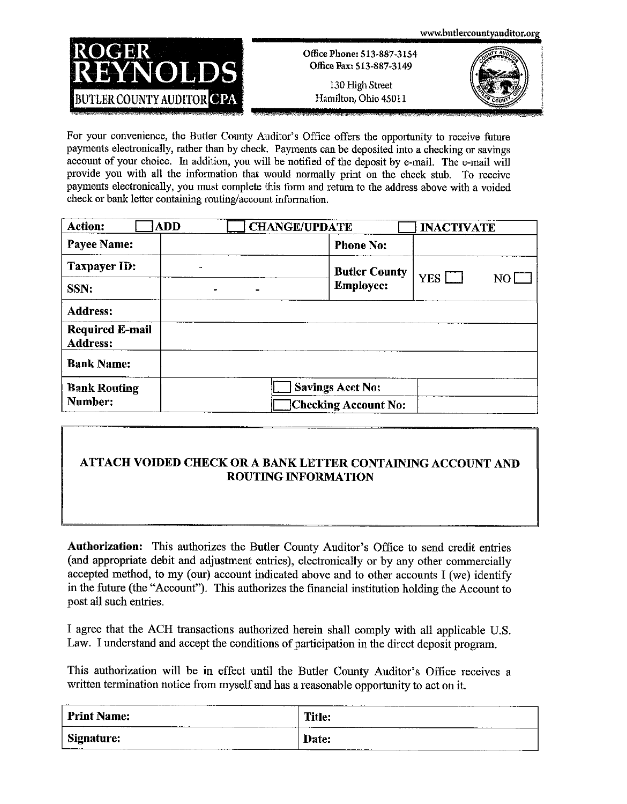

Office Phone: 513-887-3154 Office Fax: S13-887-3149

130 High Street Hamilton, Ohio 45011



For your convenience, the Butler County Auditor's Office offers the opportunity to receive future payments electronically, rather than by check. Payments can be deposited into a checking or savings account of your choice. In addition, you will be notified of the deposit by e-mail. The e-mail will provide you with all the information that would normally print on the check stub. To receive payments electronically, you must complete this form and return to the address above with a voided check or bank letter containing routing/account information.

| <b>Action:</b><br><b>ADD</b>              | <b>CHANGE/UPDATE</b>    | <b>INACTIVATE</b> |
|-------------------------------------------|-------------------------|-------------------|
| <b>Payee Name:</b>                        | <b>Phone No:</b>        |                   |
| Taxpayer ID:<br>$\blacksquare$            | <b>Butler County</b>    | $YES$ $\Box$      |
| SSN:                                      | <b>Employee:</b>        | NO L              |
| <b>Address:</b>                           |                         |                   |
| <b>Required E-mail</b><br><b>Address:</b> |                         |                   |
| <b>Bank Name:</b>                         |                         |                   |
| <b>Bank Routing</b>                       | <b>Savings Acct No:</b> |                   |
| Number:                                   | Checking Account No:    |                   |

#### ATTACH VOIDED CHECK OR A BANK LETTER CONTAINING ACCOUNT AND **ROUTING INFORMATION**

**Authorization:** This authorizes the Butler County Auditor's Office to send credit entries (and appropriate debit and adjustment entries), electronically or by any other commercially accepted method, to my (our) account indicated above and to other accounts I (we) identify in the future (the "Account"). This authorizes the financial institution holding the Account to post all such entries.

I agree that the ACH transactions authorized herein shall comply with all applicable U.S. Law. I understand and accept the conditions of participation in the direct deposit program.

This authorization will be in effect until the Butler County Auditor's Office receives a written termination notice from myself and has a reasonable opportunity to act on it.

| <b>Print Name:</b>  | ------        |
|---------------------|---------------|
| _______             | <b>Title:</b> |
| Signature:<br>----- | Date:         |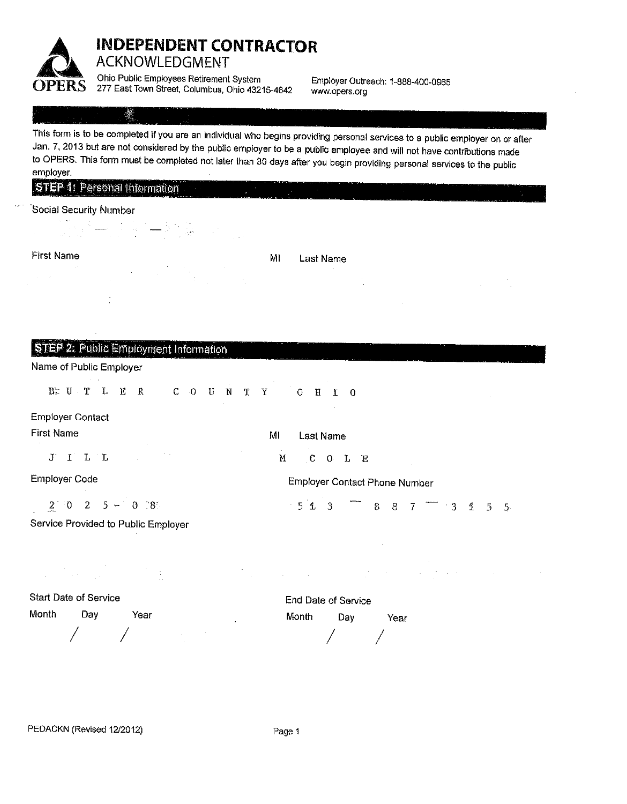

## **INDEPENDENT CONTRACTOR ACKNOWLEDGMENT**

Ohio Public Employees Retirement System 277 East Town Street, Columbus, Ohio 43215-4642

Employer Outreach: 1-888-400-0965 www.opers.org

## $\mathcal{L}$

This form is to be completed if you are an individual who begins providing personal services to a public employer on or after Jan. 7, 2013 but are not considered by the public employer to be a public employee and will not have contributions made to OPERS. This form must be completed not later than 30 days after you begin providing personal services to the public employer.

MI

 $\mathbf M$ 

|  | STEP 1: Personal Information |  |
|--|------------------------------|--|
|  |                              |  |

#### Social Security Number

**First Name** 

 $\Delta \sim 10^4$ 

MI

Last Name

Last Name

 $-5$   $\pm$  3

 $C$   $O$   $L$   $E$ 

Employer Contact Phone Number

 $8 \quad 8 \quad 7$ 

 $\overline{3}$  3 4 5 5

| STEP 2: Public Employment Information |  |  |  |
|---------------------------------------|--|--|--|
|                                       |  |  |  |

#### Name of Public Employer

B. U T L E R  $C = 0$  $\mathbf{U}$  $\mathbf{N}$  $\mathbf{T}$  $\mathbf{Y}$  $0$  H I O

#### **Employer Contact**

**First Name** 

J I L L

**Employer Code** 

 $2^{11}0$  2 5 - 0 28

Service Provided to Public Employer

n<br>Santa Salaman  $\ddot{\cdot}$  $\mathcal{L}_{\mathcal{A}}$ 

**Start Date of Service** Month Dav Year

End Date of Service Month Day Year

PEDACKN (Revised 12/2012)

Page 1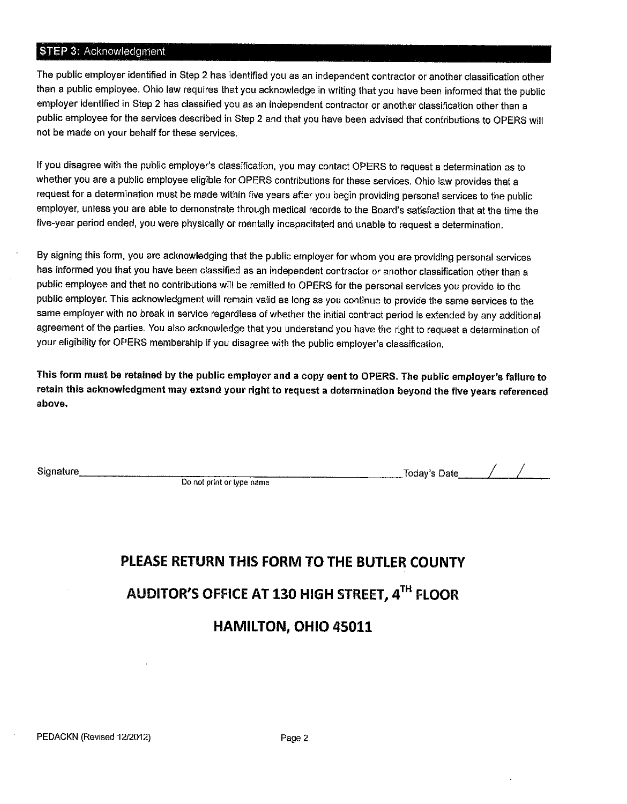#### STEP 3: Acknowledgment

The public employer identified in Step 2 has identified you as an independent contractor or another classification other than a public employee. Ohio law requires that you acknowledge in writing that you have been informed that the public employer identified in Step 2 has classified you as an independent contractor or another classification other than a public employee for the services described in Step 2 and that you have been advised that contributions to OPERS will not be made on your behalf for these services.

If you disagree with the public employer's classification, you may contact OPERS to request a determination as to whether you are a public employee eligible for OPERS contributions for these services. Ohio law provides that a request for a determination must be made within five years after you begin providing personal services to the public employer, unless you are able to demonstrate through medical records to the Board's satisfaction that at the time the five-year period ended, you were physically or mentally incapacitated and unable to request a determination.

By signing this form, you are acknowledging that the public employer for whom you are providing personal services has informed you that you have been classified as an independent contractor or another classification other than a public employee and that no contributions will be remitted to OPERS for the personal services you provide to the public employer. This acknowledgment will remain valid as long as you continue to provide the same services to the same employer with no break in service regardless of whether the initial contract period is extended by any additional agreement of the parties. You also acknowledge that you understand you have the right to request a determination of your eligibility for OPERS membership if you disagree with the public employer's classification.

This form must be retained by the public employer and a copy sent to OPERS. The public employer's failure to retain this acknowledgment may extend your right to request a determination beyond the five years referenced above.

Signature

Do not print or type name

\_Today's Date\_\_\_\_  $\Big/$   $\Big/$ 

# PLEASE RETURN THIS FORM TO THE BUTLER COUNTY AUDITOR'S OFFICE AT 130 HIGH STREET, 4TH FLOOR **HAMILTON, OHIO 45011**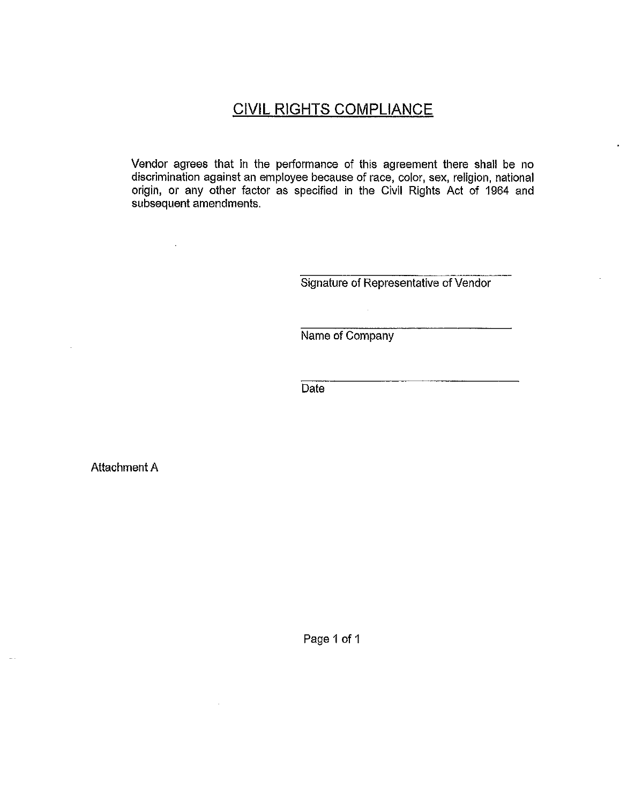# **CIVIL RIGHTS COMPLIANCE**

Vendor agrees that in the performance of this agreement there shall be no discrimination against an employee because of race, color, sex, religion, national origin, or any other factor as specified in the Civil Rights Act of 1964 and subsequent amendments.

Signature of Representative of Vendor

Name of Company

 $\mathcal{L}_{\text{eff}}$ 

 $\overline{Date}$ 

**Attachment A** 

 $\ddot{\phantom{a}}$ 

Page 1 of 1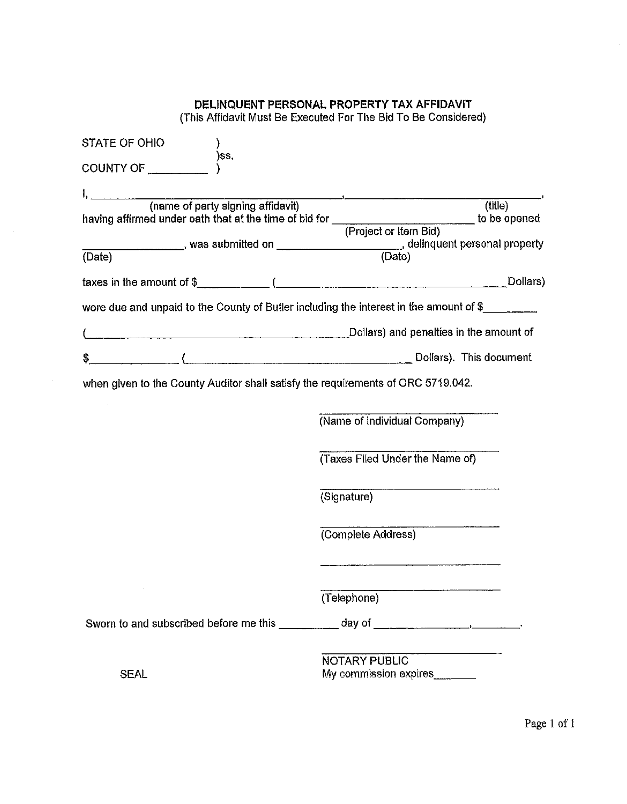#### DELINQUENT PERSONAL PROPERTY TAX AFFIDAVIT (This Affidavit Must Be Executed For The Bid To Be Considered)

| STATE OF OHIO                                                                    |                                                                                                                                                                                                                                                                                                      |
|----------------------------------------------------------------------------------|------------------------------------------------------------------------------------------------------------------------------------------------------------------------------------------------------------------------------------------------------------------------------------------------------|
| )ss.<br>COUNTY OF <b>COUNTY</b>                                                  |                                                                                                                                                                                                                                                                                                      |
|                                                                                  |                                                                                                                                                                                                                                                                                                      |
|                                                                                  | $\overline{($ title $)}$                                                                                                                                                                                                                                                                             |
|                                                                                  | having affirmed under oath that at the time of bid for<br>(Project or Item Bid) to be opened                                                                                                                                                                                                         |
|                                                                                  |                                                                                                                                                                                                                                                                                                      |
| (Date)                                                                           |                                                                                                                                                                                                                                                                                                      |
|                                                                                  | taxes in the amount of $\frac{1}{2}$ ( $\frac{1}{2}$ ( $\frac{1}{2}$ = $\frac{1}{2}$ = $\frac{1}{2}$ = $\frac{1}{2}$ = $\frac{1}{2}$ = $\frac{1}{2}$ = $\frac{1}{2}$ = $\frac{1}{2}$ = $\frac{1}{2}$ = $\frac{1}{2}$ = $\frac{1}{2}$ = $\frac{1}{2}$ = $\frac{1}{2}$ = $\frac{1}{2}$ = $\frac{1}{2}$ |
|                                                                                  | were due and unpaid to the County of Butler including the interest in the amount of $\frac{1}{2}$                                                                                                                                                                                                    |
|                                                                                  | Dollars) and penalties in the amount of                                                                                                                                                                                                                                                              |
|                                                                                  |                                                                                                                                                                                                                                                                                                      |
| when given to the County Auditor shall satisfy the requirements of ORC 5719.042. | (Name of Individual Company)<br>(Taxes Filed Under the Name of)                                                                                                                                                                                                                                      |
|                                                                                  | <u> 1980 - Johann Barbara, martin amerikan basa</u><br>(Signature)                                                                                                                                                                                                                                   |
|                                                                                  | (Complete Address)                                                                                                                                                                                                                                                                                   |
|                                                                                  |                                                                                                                                                                                                                                                                                                      |
|                                                                                  | (Telephone)                                                                                                                                                                                                                                                                                          |
|                                                                                  | Sworn to and subscribed before me this __________ day of ________________________                                                                                                                                                                                                                    |
|                                                                                  | NOTARY PUBLIC                                                                                                                                                                                                                                                                                        |
| <b>SEAL</b>                                                                      | My commission expires                                                                                                                                                                                                                                                                                |

 $\bar{\beta}$